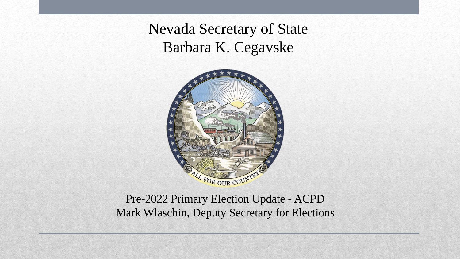Nevada Secretary of State Barbara K. Cegavske



Pre-2022 Primary Election Update - ACPD Mark Wlaschin, Deputy Secretary for Elections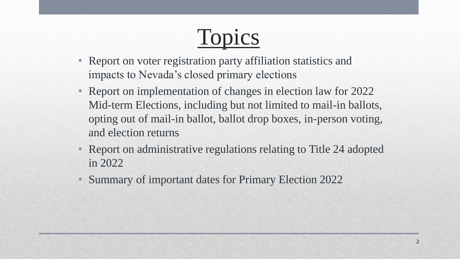

- Report on voter registration party affiliation statistics and impacts to Nevada's closed primary elections
- Report on implementation of changes in election law for 2022 Mid-term Elections, including but not limited to mail-in ballots, opting out of mail-in ballot, ballot drop boxes, in-person voting, and election returns
- Report on administrative regulations relating to Title 24 adopted in 2022
- Summary of important dates for Primary Election 2022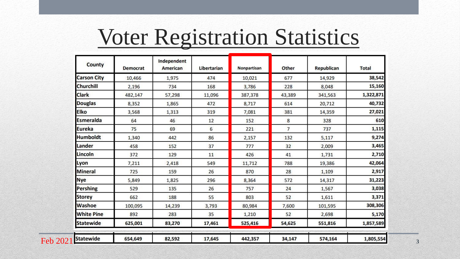#### Voter Registration Statistics

| County             | Democrat | Independent<br>American | Libertarian | Nonpartisan | Other          | Republican | <b>Total</b> |
|--------------------|----------|-------------------------|-------------|-------------|----------------|------------|--------------|
| <b>Carson City</b> | 10,466   | 1,975                   | 474         | 10,021      | 677            | 14,929     | 38,542       |
| <b>Churchill</b>   | 2,196    | 734                     | 168         | 3,786       | 228            | 8,048      | 15,160       |
| <b>Clark</b>       | 482,147  | 57,298                  | 11,096      | 387,378     | 43,389         | 341,563    | 1,322,871    |
| <b>Douglas</b>     | 8,352    | 1,865                   | 472         | 8,717       | 614            | 20,712     | 40,732       |
| <b>Elko</b>        | 3,568    | 1,313                   | 319         | 7,081       | 381            | 14,359     | 27,021       |
| <b>Esmeralda</b>   | 64       | 46                      | 12          | 152         | 8              | 328        | 610          |
| <b>Eureka</b>      | 75       | 69                      | 6           | 221         | $\overline{7}$ | 737        | 1,115        |
| <b>Humboldt</b>    | 1,340    | 442                     | 86          | 2,157       | 132            | 5,117      | 9,274        |
| Lander             | 458      | 152                     | 37          | 777         | 32             | 2,009      | 3,465        |
| Lincoln            | 372      | 129                     | 11          | 426         | 41             | 1,731      | 2,710        |
| Lyon               | 7,211    | 2,418                   | 549         | 11,712      | 788            | 19,386     | 42,064       |
| <b>Mineral</b>     | 725      | 159                     | 26          | 870         | 28             | 1,109      | 2,917        |
| <b>Nye</b>         | 5,849    | 1,825                   | 296         | 8,364       | 572            | 14,317     | 31,223       |
| <b>Pershing</b>    | 529      | 135                     | 26          | 757         | 24             | 1,567      | 3,038        |
| <b>Storey</b>      | 662      | 188                     | 55          | 803         | 52             | 1,611      | 3,371        |
| Washoe             | 100,095  | 14,239                  | 3,793       | 80,984      | 7,600          | 101,595    | 308,306      |
| <b>White Pine</b>  | 892      | 283                     | 35          | 1,210       | 52             | 2,698      | 5,170        |
| <b>Statewide</b>   | 625,001  | 83,270                  | 17,461      | 525,416     | 54,625         | 551,816    | 1,857,589    |
| <b>Statewide</b>   | 654,649  | 82,592                  | 17,645      | 442,357     | 34,147         | 574,164    | 1,805,554    |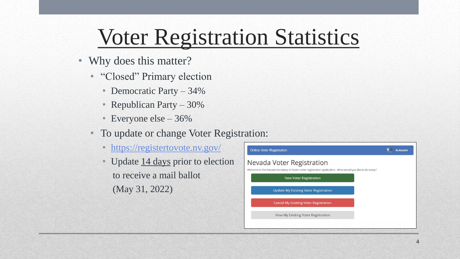# Voter Registration Statistics

- Why does this matter?
	- "Closed" Primary election
		- Democratic Party 34%
		- Republican Party 30%
		- Everyone else 36%
	- To update or change Voter Registration:
		- <https://registertovote.nv.gov/>
		- Update 14 days prior to election to receive a mail ballot (May 31, 2022)

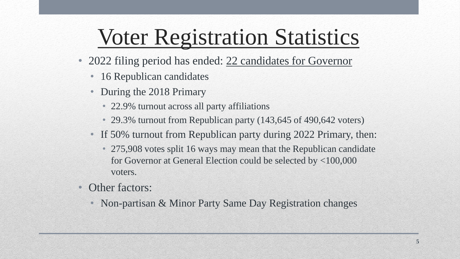# Voter Registration Statistics

- 2022 filing period has ended: 22 candidates for Governor
	- 16 Republican candidates
	- During the 2018 Primary
		- 22.9% turnout across all party affiliations
		- 29.3% turnout from Republican party (143,645 of 490,642 voters)
	- If 50% turnout from Republican party during 2022 Primary, then:
		- 275,908 votes split 16 ways may mean that the Republican candidate for Governor at General Election could be selected by <100,000 voters.
- Other factors:
	- Non-partisan & Minor Party Same Day Registration changes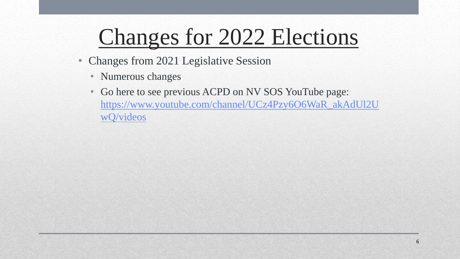- Changes from 2021 Legislative Session
	- Numerous changes
	- Go here to see previous ACPD on NV SOS YouTube page: [https://www.youtube.com/channel/UCz4Pzy6O6WaR\\_akAdUl2U](https://www.youtube.com/channel/UCz4Pzy6O6WaR_akAdUl2UwQ/videos) wQ/videos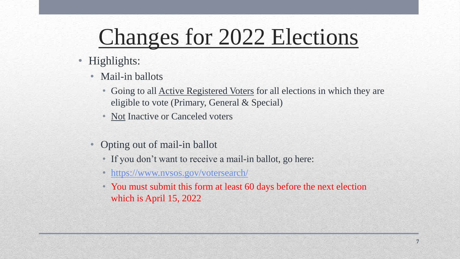- Highlights:
	- Mail-in ballots
		- Going to all **Active Registered Voters** for all elections in which they are eligible to vote (Primary, General & Special)
		- Not Inactive or Canceled voters
	- Opting out of mail-in ballot
		- If you don't want to receive a mail-in ballot, go here:
		- <https://www.nvsos.gov/votersearch/>
		- You must submit this form at least 60 days before the next election which is April 15, 2022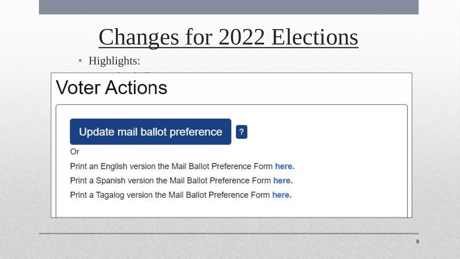• Highlights:

#### • Mail-in ballots • Going to all Active Registered Voters for all elections in which they are

Update mail ballot preference  $|7|$ 

 $\mathcal{O}(\mathcal{O}_\mathcal{A})$  and  $\mathcal{O}(\mathcal{O}_\mathcal{A})$  and  $\mathcal{O}(\mathcal{O}_\mathcal{A})$  and  $\mathcal{O}(\mathcal{O}_\mathcal{A})$ 

• Not Inactive or Canceled voters

#### Or

• If you don't want to receive a mail-in ballot, go here: engilon referentino mail Ballot Profession

eligible to vote (Primary, General & Special), General & Special), General & Special), General & Special), Gen

Print a Spanish version the Mail Ballot Preference Form here.

Print a Tagalog version the Mail Ballot Preference Form here.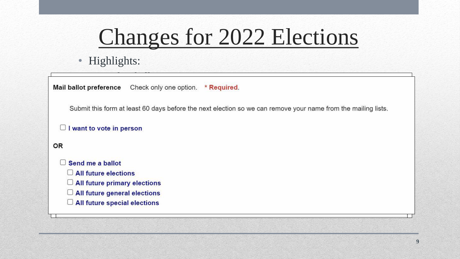• Highlights:

• Mail-in ballots

Submit this form at least 60 days before the next election so we can remove your name from the mailing lists. • Not Inactive or Canceled voters

```
\Box I want to vote in person
```
**OR** 

- $\mathsf{h}$ allot, go here: $\mathsf{h}$
- $\Box$  All future elections
- e primary elections<br>
at least 60 days before the next elections<br>
and the next elections
- 
- $\Box$  All future general elections<br> $\Box$  All future special elections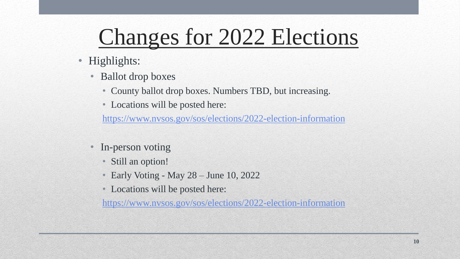- Highlights:
	- Ballot drop boxes
		- County ballot drop boxes. Numbers TBD, but increasing.
		- Locations will be posted here:

<https://www.nvsos.gov/sos/elections/2022-election-information>

- In-person voting
	- Still an option!
	- Early Voting May 28 June 10, 2022
	- Locations will be posted here:

<https://www.nvsos.gov/sos/elections/2022-election-information>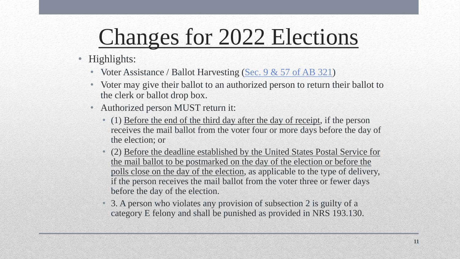- Highlights:
	- Voter Assistance / Ballot Harvesting  $(Sec. 9 & 57)$  of AB 321)
	- Voter may give their ballot to an authorized person to return their ballot to the clerk or ballot drop box.
	- Authorized person MUST return it:
		- (1) Before the end of the third day after the day of receipt, if the person receives the mail ballot from the voter four or more days before the day of the election; or
		- (2) Before the deadline established by the United States Postal Service for the mail ballot to be postmarked on the day of the election or before the polls close on the day of the election, as applicable to the type of delivery, if the person receives the mail ballot from the voter three or fewer days before the day of the election.
		- 3. A person who violates any provision of subsection 2 is guilty of a category E felony and shall be punished as provided in NRS 193.130.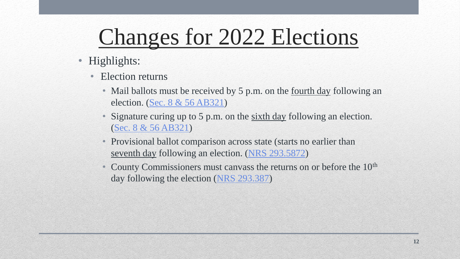- Highlights:
	- Election returns
		- Mail ballots must be received by 5 p.m. on the <u>fourth day</u> following an election. [\(Sec. 8 & 56 AB321\)](https://www.leg.state.nv.us/App/NELIS/REL/81st2021/Bill/7842/Overview)
		- Signature curing up to 5 p.m. on the sixth day following an election. [\(Sec. 8 & 56 AB321\)](https://www.leg.state.nv.us/App/NELIS/REL/81st2021/Bill/7842/Overview)
		- Provisional ballot comparison across state (starts no earlier than seventh day following an election. ([NRS 293.5872](https://www.leg.state.nv.us/nrs/nrs-293.html#NRS293Sec5872))
		- County Commissioners must canvass the returns on or before the 10<sup>th</sup> day following the election [\(NRS 293.387\)](https://www.leg.state.nv.us/nrs/nrs-293.html#NRS293Sec387)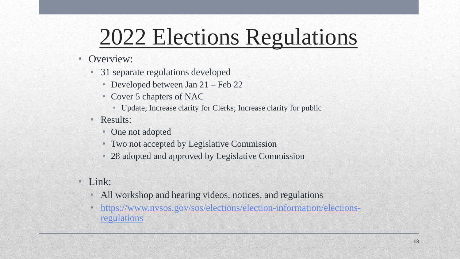- Overview:
	- 31 separate regulations developed
		- Developed between Jan 21 Feb 22
		- Cover 5 chapters of NAC
			- Update; Increase clarity for Clerks; Increase clarity for public
	- Results:
		- One not adopted
		- Two not accepted by Legislative Commission
		- 28 adopted and approved by Legislative Commission
- Link:
	- All workshop and hearing videos, notices, and regulations
	- [https://www.nvsos.gov/sos/elections/election-information/elections](https://www.nvsos.gov/sos/elections/election-information/elections-regulations)regulations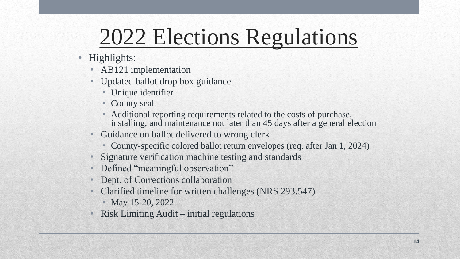- Highlights:
	- AB121 implementation
	- Updated ballot drop box guidance
		- Unique identifier
		- County seal
		- Additional reporting requirements related to the costs of purchase, installing, and maintenance not later than 45 days after a general election
	- Guidance on ballot delivered to wrong clerk
		- County-specific colored ballot return envelopes (req. after Jan 1, 2024)
	- Signature verification machine testing and standards
	- Defined "meaningful observation"
	- Dept. of Corrections collaboration
	- Clarified timeline for written challenges (NRS 293.547)
		- May 15-20, 2022
	- Risk Limiting Audit initial regulations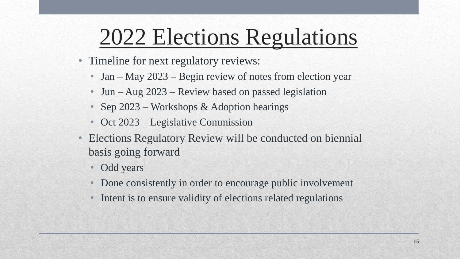- Timeline for next regulatory reviews:
	- Jan May 2023 Begin review of notes from election year
	- Jun Aug 2023 Review based on passed legislation
	- Sep 2023 Workshops & Adoption hearings
	- Oct 2023 Legislative Commission
- Elections Regulatory Review will be conducted on biennial basis going forward
	- Odd years
	- Done consistently in order to encourage public involvement
	- Intent is to ensure validity of elections related regulations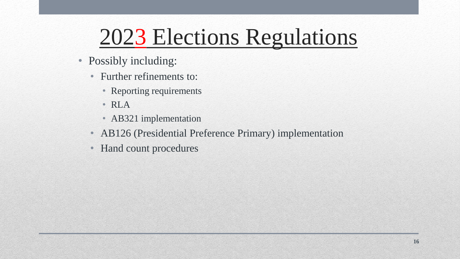- Possibly including:
	- Further refinements to:
		- Reporting requirements
		- RLA
		- AB321 implementation
	- AB126 (Presidential Preference Primary) implementation
	- Hand count procedures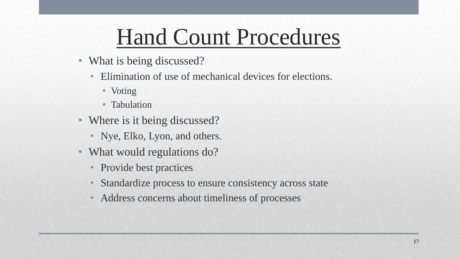### Hand Count Procedures

- What is being discussed?
	- Elimination of use of mechanical devices for elections.
		- Voting
		- Tabulation
- Where is it being discussed?
	- Nye, Elko, Lyon, and others.
- What would regulations do?
	- Provide best practices
	- Standardize process to ensure consistency across state
	- Address concerns about timeliness of processes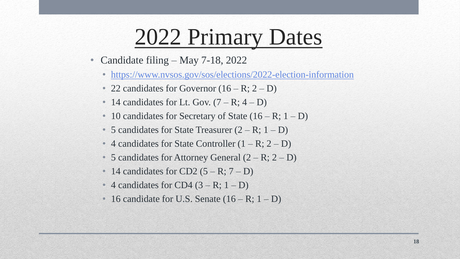#### 2022 Primary Dates

- Candidate filing May 7-18, 2022
	- <https://www.nvsos.gov/sos/elections/2022-election-information>
	- 22 candidates for Governor  $(16 R; 2 D)$
	- 14 candidates for Lt. Gov.  $(7 R; 4 D)$
	- 10 candidates for Secretary of State  $(16 R; 1 D)$
	- 5 candidates for State Treasurer  $(2 R; 1 D)$
	- 4 candidates for State Controller  $(1 R; 2 D)$
	- 5 candidates for Attorney General  $(2 R; 2 D)$
	- 14 candidates for CD2  $(5 R; 7 D)$
	- 4 candidates for CD4  $(3 R; 1 D)$
	- 16 candidate for U.S. Senate  $(16 R; 1 D)$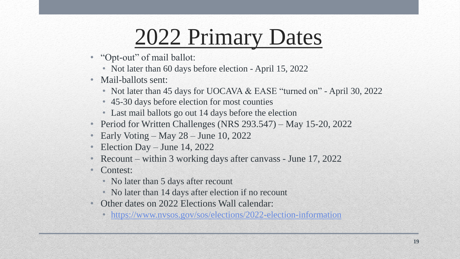### 2022 Primary Dates

- "Opt-out" of mail ballot:
	- Not later than 60 days before election April 15, 2022
- Mail-ballots sent:
	- Not later than 45 days for UOCAVA & EASE "turned on" April 30, 2022
	- 45-30 days before election for most counties
	- Last mail ballots go out 14 days before the election
- Period for Written Challenges (NRS 293.547) May 15-20, 2022
- Early Voting May 28 June 10, 2022
- Election Day June 14, 2022
- Recount within 3 working days after canvass June 17, 2022
- Contest:
	- No later than 5 days after recount
	- No later than 14 days after election if no recount
- Other dates on 2022 Elections Wall calendar:
	- <https://www.nvsos.gov/sos/elections/2022-election-information>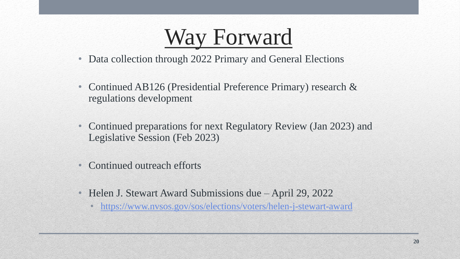#### Way Forward

- Data collection through 2022 Primary and General Elections
- Continued AB126 (Presidential Preference Primary) research & regulations development
- Continued preparations for next Regulatory Review (Jan 2023) and Legislative Session (Feb 2023)
- Continued outreach efforts
- Helen J. Stewart Award Submissions due April 29, 2022
	- <https://www.nvsos.gov/sos/elections/voters/helen-j-stewart-award>